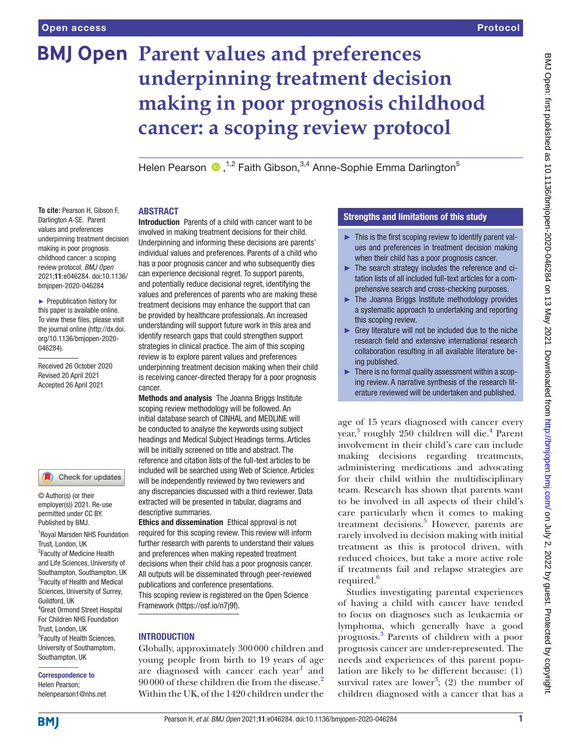# **BMJ Open Parent values and preferences underpinning treatment decision making in poor prognosis childhood cancer: a scoping review protocol**

Helen Pearson  $\bullet$ , <sup>1,2</sup> Faith Gibson.<sup>3,4</sup> Anne-Sophie Emma Darlington<sup>5</sup>

## ABSTRACT

**To cite:** Pearson H, Gibson F, Darlington A-SE. Parent values and preferences underpinning treatment decision making in poor prognosis childhood cancer: a scoping review protocol. *BMJ Open* 2021;11:e046284. doi:10.1136/ bmjopen-2020-046284

► Prepublication history for this paper is available online. To view these files, please visit the journal online [\(http://dx.doi.](http://dx.doi.org/10.1136/bmjopen-2020-046284) [org/10.1136/bmjopen-2020-](http://dx.doi.org/10.1136/bmjopen-2020-046284) [046284\)](http://dx.doi.org/10.1136/bmjopen-2020-046284).

Received 26 October 2020 Revised 20 April 2021 Accepted 26 April 2021

#### Check for updates

© Author(s) (or their employer(s)) 2021. Re-use permitted under CC BY. Published by BMJ.

1 Royal Marsden NHS Foundation Trust, London, UK <sup>2</sup> Faculty of Medicine Health and Life Sciences, University of Southampton, Southampton, UK 3 Faculty of Health and Medical Sciences, University of Surrey, Guildford, UK 4 Great Ormond Street Hospital For Children NHS Foundation Trust, London, UK 5 Faculty of Health Sciences, University of Southamptom, Southampton, UK

#### Correspondence to

Helen Pearson; helenpearson1@nhs.net

Introduction Parents of a child with cancer want to be involved in making treatment decisions for their child. Underpinning and informing these decisions are parents' individual values and preferences. Parents of a child who has a poor prognosis cancer and who subsequently dies can experience decisional regret. To support parents, and potentially reduce decisional regret, identifying the values and preferences of parents who are making these treatment decisions may enhance the support that can be provided by healthcare professionals. An increased understanding will support future work in this area and identify research gaps that could strengthen support strategies in clinical practice. The aim of this scoping review is to explore parent values and preferences underpinning treatment decision making when their child is receiving cancer-directed therapy for a poor prognosis cancer.

Methods and analysis The Joanna Briggs Institute scoping review methodology will be followed. An initial database search of CINHAL and MEDLINE will be conducted to analyse the keywords using subject headings and Medical Subject Headings terms. Articles will be initially screened on title and abstract. The reference and citation lists of the full-text articles to be included will be searched using Web of Science. Articles will be independently reviewed by two reviewers and any discrepancies discussed with a third reviewer. Data extracted will be presented in tabular, diagrams and descriptive summaries.

Ethics and dissemination Ethical approval is not required for this scoping review. This review will inform further research with parents to understand their values and preferences when making repeated treatment decisions when their child has a poor prognosis cancer. All outputs will be disseminated through peer-reviewed publications and conference presentations. This scoping review is registered on the Open Science Framework ([https://osf.io/n7j9f\)](https://osf.io/n7j9f).

#### **INTRODUCTION**

Globally, approximately 300000 children and young people from birth to 19 years of age are diagnosed with cancer each year<sup>[1](#page-6-0)</sup> and 90000 of these children die from the disease.<sup>[2](#page-6-1)</sup> Within the UK, of the 1420 children under the

# Strengths and limitations of this study

- $\blacktriangleright$  This is the first scoping review to identify parent values and preferences in treatment decision making when their child has a poor prognosis cancer.
- ► The search strategy includes the reference and citation lists of all included full-text articles for a comprehensive search and cross-checking purposes.
- ► The Joanna Briggs Institute methodology provides a systematic approach to undertaking and reporting this scoping review.
- ► Grey literature will not be included due to the niche research field and extensive international research collaboration resulting in all available literature being published.
- ► There is no formal quality assessment within a scoping review. A narrative synthesis of the research literature reviewed will be undertaken and published.

age of 15 years diagnosed with cancer every year,<sup>[3](#page-6-2)</sup> roughly 250 children will die.<sup>[4](#page-6-3)</sup> Parent involvement in their child's care can include making decisions regarding treatments, administering medications and advocating for their child within the multidisciplinary team. Research has shown that parents want to be involved in all aspects of their child's care particularly when it comes to making treatment decisions.<sup>5</sup> However, parents are rarely involved in decision making with initial treatment as this is protocol driven, with reduced choices, but take a more active role if treatments fail and relapse strategies are required.<sup>[6](#page-6-5)</sup>

Studies investigating parental experiences of having a child with cancer have tended to focus on diagnoses such as leukaemia or lymphoma, which generally have a good prognosis[.3](#page-6-2) Parents of children with a poor prognosis cancer are under-represented. The needs and experiences of this parent population are likely to be different because: (1) survival rates are lower<sup>[3](#page-6-2)</sup>; (2) the number of children diagnosed with a cancer that has a

**BMI**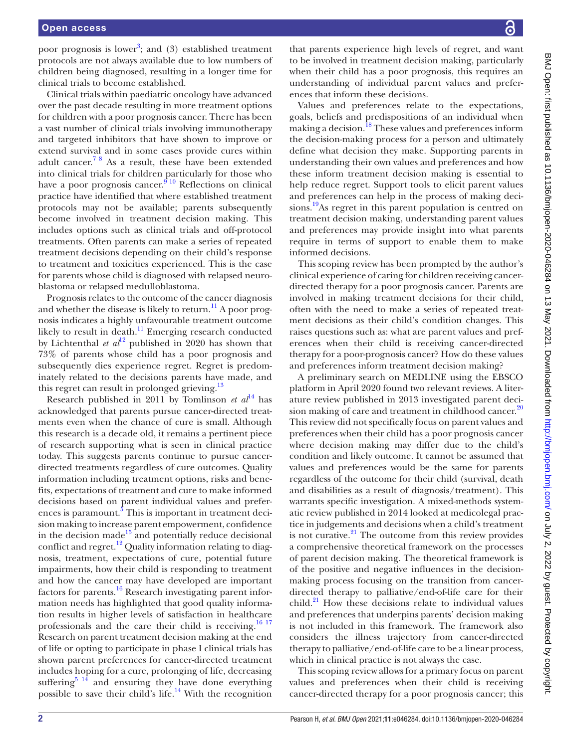poor prognosis is lower<sup>3</sup>; and  $(3)$  established treatment protocols are not always available due to low numbers of children being diagnosed, resulting in a longer time for clinical trials to become established.

Clinical trials within paediatric oncology have advanced over the past decade resulting in more treatment options for children with a poor prognosis cancer. There has been a vast number of clinical trials involving immunotherapy and targeted inhibitors that have shown to improve or extend survival and in some cases provide cures within adult cancer.<sup>78</sup> As a result, these have been extended into clinical trials for children particularly for those who have a poor prognosis cancer.<sup>[9 10](#page-6-7)</sup> Reflections on clinical practice have identified that where established treatment protocols may not be available; parents subsequently become involved in treatment decision making. This includes options such as clinical trials and off-protocol treatments. Often parents can make a series of repeated treatment decisions depending on their child's response to treatment and toxicities experienced. This is the case for parents whose child is diagnosed with relapsed neuroblastoma or relapsed medulloblastoma.

Prognosis relates to the outcome of the cancer diagnosis and whether the disease is likely to return.<sup>11</sup> A poor prognosis indicates a highly unfavourable treatment outcome likely to result in death.<sup>11</sup> Emerging research conducted by Lichtenthal *et*  $al^{12}$  $al^{12}$  $al^{12}$  published in 2020 has shown that 73% of parents whose child has a poor prognosis and subsequently dies experience regret. Regret is predominately related to the decisions parents have made, and this regret can result in prolonged grieving.<sup>13</sup>

Research published in 2011 by Tomlinson *et al*<sup>14</sup> has acknowledged that parents pursue cancer-directed treatments even when the chance of cure is small. Although this research is a decade old, it remains a pertinent piece of research supporting what is seen in clinical practice today. This suggests parents continue to pursue cancerdirected treatments regardless of cure outcomes. Quality information including treatment options, risks and benefits, expectations of treatment and cure to make informed decisions based on parent individual values and prefer-ences is paramount.<sup>[5](#page-6-4)</sup> This is important in treatment decision making to increase parent empowerment, confidence in the decision made $15$  and potentially reduce decisional conflict and regret. $^{12}$  $^{12}$  $^{12}$  Quality information relating to diagnosis, treatment, expectations of cure, potential future impairments, how their child is responding to treatment and how the cancer may have developed are important factors for parents. $16$  Research investigating parent information needs has highlighted that good quality information results in higher levels of satisfaction in healthcare professionals and the care their child is receiving.<sup>16 17</sup> Research on parent treatment decision making at the end of life or opting to participate in phase I clinical trials has shown parent preferences for cancer-directed treatment includes hoping for a cure, prolonging of life, decreasing suffering<sup>[5 14](#page-6-4)</sup> and ensuring they have done everything possible to save their child's life.<sup>14</sup> With the recognition

that parents experience high levels of regret, and want to be involved in treatment decision making, particularly when their child has a poor prognosis, this requires an understanding of individual parent values and preferences that inform these decisions.

Values and preferences relate to the expectations, goals, beliefs and predispositions of an individual when making a decision.<sup>18</sup> These values and preferences inform the decision-making process for a person and ultimately define what decision they make. Supporting parents in understanding their own values and preferences and how these inform treatment decision making is essential to help reduce regret. Support tools to elicit parent values and preferences can help in the process of making decisions.<sup>19</sup>As regret in this parent population is centred on treatment decision making, understanding parent values and preferences may provide insight into what parents require in terms of support to enable them to make informed decisions.

This scoping review has been prompted by the author's clinical experience of caring for children receiving cancerdirected therapy for a poor prognosis cancer. Parents are involved in making treatment decisions for their child, often with the need to make a series of repeated treatment decisions as their child's condition changes. This raises questions such as: what are parent values and preferences when their child is receiving cancer-directed therapy for a poor-prognosis cancer? How do these values and preferences inform treatment decision making?

A preliminary search on MEDLINE using the EBSCO platform in April 2020 found two relevant reviews. A literature review published in 2013 investigated parent decision making of care and treatment in childhood cancer. $20$ This review did not specifically focus on parent values and preferences when their child has a poor prognosis cancer where decision making may differ due to the child's condition and likely outcome. It cannot be assumed that values and preferences would be the same for parents regardless of the outcome for their child (survival, death and disabilities as a result of diagnosis/treatment). This warrants specific investigation. A mixed-methods systematic review published in 2014 looked at medicolegal practice in judgements and decisions when a child's treatment is not curative. $^{21}$  $^{21}$  $^{21}$  The outcome from this review provides a comprehensive theoretical framework on the processes of parent decision making. The theoretical framework is of the positive and negative influences in the decisionmaking process focusing on the transition from cancerdirected therapy to palliative/end-of-life care for their child. $^{21}$  How these decisions relate to individual values and preferences that underpins parents' decision making is not included in this framework. The framework also considers the illness trajectory from cancer-directed therapy to palliative/end-of-life care to be a linear process, which in clinical practice is not always the case.

This scoping review allows for a primary focus on parent values and preferences when their child is receiving cancer-directed therapy for a poor prognosis cancer; this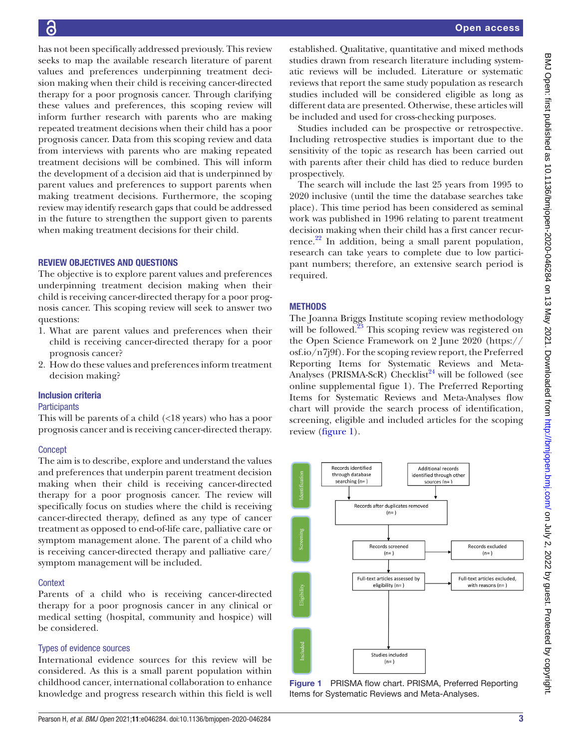16

has not been specifically addressed previously. This review seeks to map the available research literature of parent values and preferences underpinning treatment decision making when their child is receiving cancer-directed therapy for a poor prognosis cancer. Through clarifying these values and preferences, this scoping review will inform further research with parents who are making repeated treatment decisions when their child has a poor prognosis cancer. Data from this scoping review and data from interviews with parents who are making repeated treatment decisions will be combined. This will inform the development of a decision aid that is underpinned by parent values and preferences to support parents when making treatment decisions. Furthermore, the scoping review may identify research gaps that could be addressed in the future to strengthen the support given to parents when making treatment decisions for their child.

## REVIEW OBJECTIVES AND QUESTIONS

The objective is to explore parent values and preferences underpinning treatment decision making when their child is receiving cancer-directed therapy for a poor prognosis cancer. This scoping review will seek to answer two questions:

- 1. What are parent values and preferences when their child is receiving cancer-directed therapy for a poor prognosis cancer?
- 2. How do these values and preferences inform treatment decision making?

## Inclusion criteria

## **Participants**

This will be parents of a child (<18 years) who has a poor prognosis cancer and is receiving cancer-directed therapy.

## **Concept**

The aim is to describe, explore and understand the values and preferences that underpin parent treatment decision making when their child is receiving cancer-directed therapy for a poor prognosis cancer. The review will specifically focus on studies where the child is receiving cancer-directed therapy, defined as any type of cancer treatment as opposed to end-of-life care, palliative care or symptom management alone. The parent of a child who is receiving cancer-directed therapy and palliative care/ symptom management will be included.

## **Context**

Parents of a child who is receiving cancer-directed therapy for a poor prognosis cancer in any clinical or medical setting (hospital, community and hospice) will be considered.

## Types of evidence sources

International evidence sources for this review will be considered. As this is a small parent population within childhood cancer, international collaboration to enhance knowledge and progress research within this field is well

established. Qualitative, quantitative and mixed methods studies drawn from research literature including systematic reviews will be included. Literature or systematic reviews that report the same study population as research studies included will be considered eligible as long as different data are presented. Otherwise, these articles will be included and used for cross-checking purposes.

Studies included can be prospective or retrospective. Including retrospective studies is important due to the sensitivity of the topic as research has been carried out with parents after their child has died to reduce burden prospectively.

The search will include the last 25 years from 1995 to 2020 inclusive (until the time the database searches take place). This time period has been considered as seminal work was published in 1996 relating to parent treatment decision making when their child has a first cancer recurrence. $^{22}$  In addition, being a small parent population, research can take years to complete due to low participant numbers; therefore, an extensive search period is required.

# **METHODS**

The Joanna Briggs Institute scoping review methodology will be followed.<sup>[23](#page-6-19)</sup> This scoping review was registered on the Open Science Framework on 2 June 2020 ([https://](https://osf.io/n7j9f) [osf.io/n7j9f](https://osf.io/n7j9f)). For the scoping review report, the Preferred Reporting Items for Systematic Reviews and Meta-Analyses (PRISMA-ScR) Checklist<sup>24</sup> will be followed (see [online supplemental figue 1\)](https://dx.doi.org/10.1136/bmjopen-2020-046284). The Preferred Reporting Items for Systematic Reviews and Meta-Analyses flow chart will provide the search process of identification, screening, eligible and included articles for the scoping review [\(figure](#page-2-0) 1).



<span id="page-2-0"></span>Figure 1 PRISMA flow chart. PRISMA, Preferred Reporting Items for Systematic Reviews and Meta-Analyses.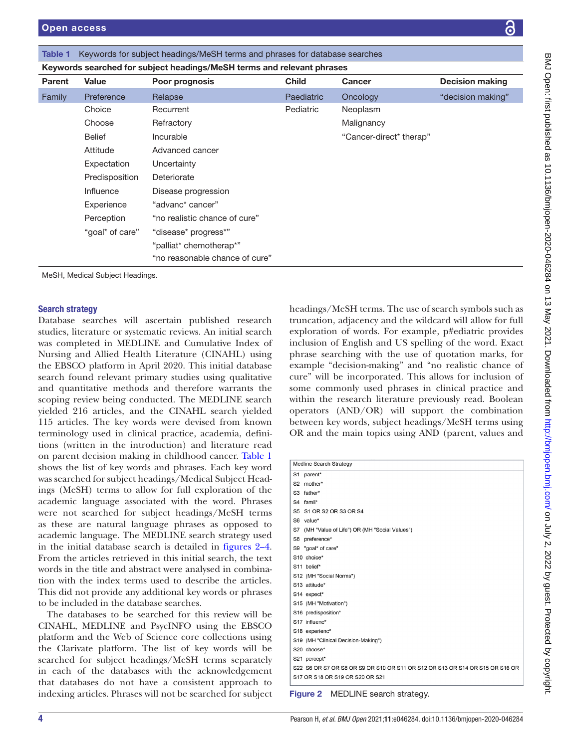| <b>Parent</b>          | <b>Value</b>                    | Poor prognosis                 | <b>Child</b> | <b>Cancer</b>                                      | <b>Decision making</b> |
|------------------------|---------------------------------|--------------------------------|--------------|----------------------------------------------------|------------------------|
| Family                 | Preference                      | Relapse                        | Paediatric   | Oncology                                           | "decision making"      |
|                        | Choice                          | Recurrent                      | Pediatric    | Neoplasm                                           |                        |
|                        | Choose                          | Refractory                     |              | Malignancy                                         |                        |
|                        | Belief                          | Incurable                      |              | "Cancer-direct* therap"                            |                        |
|                        | Attitude                        | Advanced cancer                |              |                                                    |                        |
|                        | Expectation                     | Uncertainty                    |              |                                                    |                        |
|                        | Predisposition                  | Deteriorate                    |              |                                                    |                        |
|                        | Influence                       | Disease progression            |              |                                                    |                        |
|                        | Experience                      | "advanc* cancer"               |              |                                                    |                        |
|                        | Perception                      | "no realistic chance of cure"  |              |                                                    |                        |
|                        | "goal* of care"                 | "disease* progress*"           |              |                                                    |                        |
|                        |                                 | "palliat* chemotherap*"        |              |                                                    |                        |
|                        |                                 | "no reasonable chance of cure" |              |                                                    |                        |
|                        | MeSH, Medical Subject Headings. |                                |              |                                                    |                        |
| <b>Search strategy</b> |                                 |                                |              | headings/MeSH terms. The use of search symbols suc |                        |

<span id="page-3-0"></span>Table 1 Keywords for subject headings/MeSH terms and phrases for database searches

Keywords searched for subject headings/MeSH terms and relevant phrases

Database searches will ascertain published research studies, literature or systematic reviews. An initial search was completed in MEDLINE and Cumulative Index of Nursing and Allied Health Literature (CINAHL) using the EBSCO platform in April 2020. This initial database search found relevant primary studies using qualitative and quantitative methods and therefore warrants the scoping review being conducted. The MEDLINE search yielded 216 articles, and the CINAHL search yielded 115 articles. The key words were devised from known terminology used in clinical practice, academia, definitions (written in the introduction) and literature read on parent decision making in childhood cancer. [Table](#page-3-0) 1 shows the list of key words and phrases. Each key word was searched for subject headings/Medical Subject Headings (MeSH) terms to allow for full exploration of the academic language associated with the word. Phrases were not searched for subject headings/MeSH terms as these are natural language phrases as opposed to academic language. The MEDLINE search strategy used in the initial database search is detailed in [figures](#page-3-1) 2–4. From the articles retrieved in this initial search, the text words in the title and abstract were analysed in combination with the index terms used to describe the articles. This did not provide any additional key words or phrases to be included in the database searches.

The databases to be searched for this review will be CINAHL, MEDLINE and PsycINFO using the EBSCO platform and the Web of Science core collections using the Clarivate platform. The list of key words will be searched for subject headings/MeSH terms separately in each of the databases with the acknowledgement that databases do not have a consistent approach to indexing articles. Phrases will not be searched for subject

terms. The use of search symbols such as truncation, adjacency and the wildcard will allow for full exploration of words. For example, p#ediatric provides inclusion of English and US spelling of the word. Exact phrase searching with the use of quotation marks, for example "decision-making" and "no realistic chance of cure" will be incorporated. This allows for inclusion of some commonly used phrases in clinical practice and within the research literature previously read. Boolean operators (AND/OR) will support the combination between key words, subject headings/MeSH terms using OR and the main topics using AND (parent, values and

| Medline Search Strategy |                                                                               |  |  |  |
|-------------------------|-------------------------------------------------------------------------------|--|--|--|
|                         | S1 parent*                                                                    |  |  |  |
|                         | S2 mother*                                                                    |  |  |  |
|                         | S3 father*                                                                    |  |  |  |
|                         | S4 famil*                                                                     |  |  |  |
|                         | S5 S1 OR S2 OR S3 OR S4                                                       |  |  |  |
|                         | S6 value*                                                                     |  |  |  |
|                         | S7 (MH "Value of Life") OR (MH "Social Values")                               |  |  |  |
|                         | S8 preference*                                                                |  |  |  |
|                         | S9 "goal* of care"                                                            |  |  |  |
|                         | S10 choice*                                                                   |  |  |  |
|                         | S11 belief*                                                                   |  |  |  |
|                         | S12 (MH "Social Norms")                                                       |  |  |  |
|                         | S13 attitude*                                                                 |  |  |  |
|                         | S14 expect*                                                                   |  |  |  |
|                         | S15 (MH "Motivation")                                                         |  |  |  |
|                         | S16 predisposition*                                                           |  |  |  |
|                         | S17 influenc*                                                                 |  |  |  |
|                         | S18 experienc*                                                                |  |  |  |
|                         | S19 (MH "Clinical Decision-Making")                                           |  |  |  |
|                         | S20 choose*                                                                   |  |  |  |
|                         | S21 percept*                                                                  |  |  |  |
|                         | \$22 S6 OR S7 OR S8 OR S9 OR S10 OR S11 OR S12 OR S13 OR S14 OR S15 OR S16 OR |  |  |  |
|                         | S17 OR S18 OR S19 OR S20 OR S21                                               |  |  |  |
|                         |                                                                               |  |  |  |

<span id="page-3-1"></span>Figure 2 MEDLINE search strategy.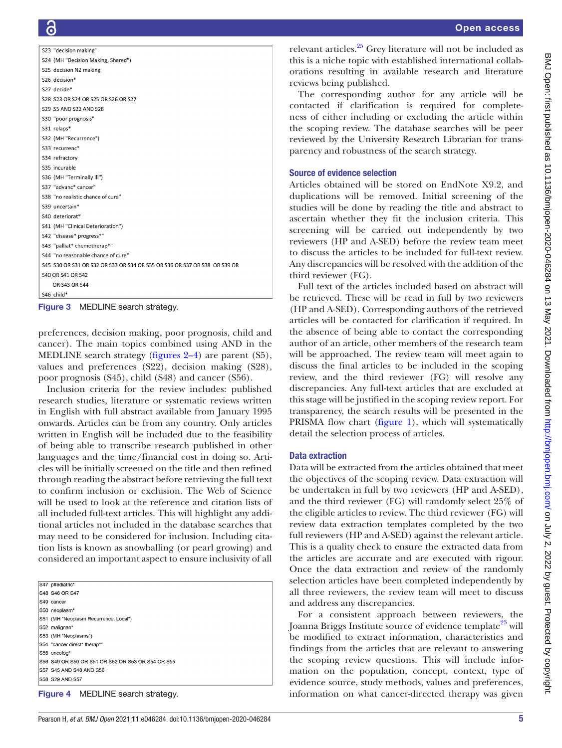```
S23 "decision making
S24 (MH "Decision Making, Shared")
S25 decision N2 making
S26 decision*
S<sub>27</sub> decide<sup>*</sup>
$28, $23 OR $24 OR $25 OR $26 OR $27
S29 S5 AND S22 AND S28
S30 "poor prognosis"
S31 relaps*
S32 (MH "Recurrence")
S33 recurrenc*
S34 refractory
S35 incurable
S36 (MH "Terminally III")
S37 "advanc* cancer"
S38 "no realistic chance of cure'
S39 uncertain*
S40 deteriorat<sup>*</sup>
S41 (MH "Clinical Deterioration")
S42 "disease* progress*"
S43 "palliat* chemotherap*'
S44 "no reasonable chance of cure"
$45 $30 OR $31 OR $32 OR $33 OR $34 OR $35 OR $36 OR $37 OR $38 OR $39 OR
S40 OR S41 OR S42
    OR S43 OR S44
S46 child*
```
Figure 3 MEDLINE search strategy.

preferences, decision making, poor prognosis, child and cancer). The main topics combined using AND in the MEDLINE search strategy ([figures](#page-3-1) 2–4) are parent (S5), values and preferences (S22), decision making (S28), poor prognosis (S45), child (S48) and cancer (S56).

Inclusion criteria for the review includes: published research studies, literature or systematic reviews written in English with full abstract available from January 1995 onwards. Articles can be from any country. Only articles written in English will be included due to the feasibility of being able to transcribe research published in other languages and the time/financial cost in doing so. Articles will be initially screened on the title and then refined through reading the abstract before retrieving the full text to confirm inclusion or exclusion. The Web of Science will be used to look at the reference and citation lists of all included full-text articles. This will highlight any additional articles not included in the database searches that may need to be considered for inclusion. Including citation lists is known as snowballing (or pearl growing) and considered an important aspect to ensure inclusivity of all

S47 p#ediatric S48 S46 OR S47 S49 cancer S50 neoplasm\* S51 (MH "Neoplasm Recurrence, Local") S52 malionan\* S53 (MH "Neoplasms") S54 "cancer direct\* therap\*" S55 oncolog\* S56 S49 OR S50 OR S51 OR S52 OR S53 OR S54 OR S55 S57 S45 AND S48 AND S56 S58 S29 AND S57

Figure 4 MEDLINE search strategy.

relevant articles.<sup>[25](#page-6-21)</sup> Grey literature will not be included as this is a niche topic with established international collaborations resulting in available research and literature reviews being published.

The corresponding author for any article will be contacted if clarification is required for completeness of either including or excluding the article within the scoping review. The database searches will be peer reviewed by the University Research Librarian for transparency and robustness of the search strategy.

#### Source of evidence selection

Articles obtained will be stored on EndNote X9.2, and duplications will be removed. Initial screening of the studies will be done by reading the title and abstract to ascertain whether they fit the inclusion criteria. This screening will be carried out independently by two reviewers (HP and A-SED) before the review team meet to discuss the articles to be included for full-text review. Any discrepancies will be resolved with the addition of the third reviewer (FG).

Full text of the articles included based on abstract will be retrieved. These will be read in full by two reviewers (HP and A-SED). Corresponding authors of the retrieved articles will be contacted for clarification if required. In the absence of being able to contact the corresponding author of an article, other members of the research team will be approached. The review team will meet again to discuss the final articles to be included in the scoping review, and the third reviewer (FG) will resolve any discrepancies. Any full-text articles that are excluded at this stage will be justified in the scoping review report. For transparency, the search results will be presented in the PRISMA flow chart [\(figure](#page-2-0) 1), which will systematically detail the selection process of articles.

#### Data extraction

Data will be extracted from the articles obtained that meet the objectives of the scoping review. Data extraction will be undertaken in full by two reviewers (HP and A-SED), and the third reviewer (FG) will randomly select 25% of the eligible articles to review. The third reviewer (FG) will review data extraction templates completed by the two full reviewers (HP and A-SED) against the relevant article. This is a quality check to ensure the extracted data from the articles are accurate and are executed with rigour. Once the data extraction and review of the randomly selection articles have been completed independently by all three reviewers, the review team will meet to discuss and address any discrepancies.

For a consistent approach between reviewers, the Joanna Briggs Institute source of evidence template<sup>[23](#page-6-19)</sup> will be modified to extract information, characteristics and findings from the articles that are relevant to answering the scoping review questions. This will include information on the population, concept, context, type of evidence source, study methods, values and preferences, information on what cancer-directed therapy was given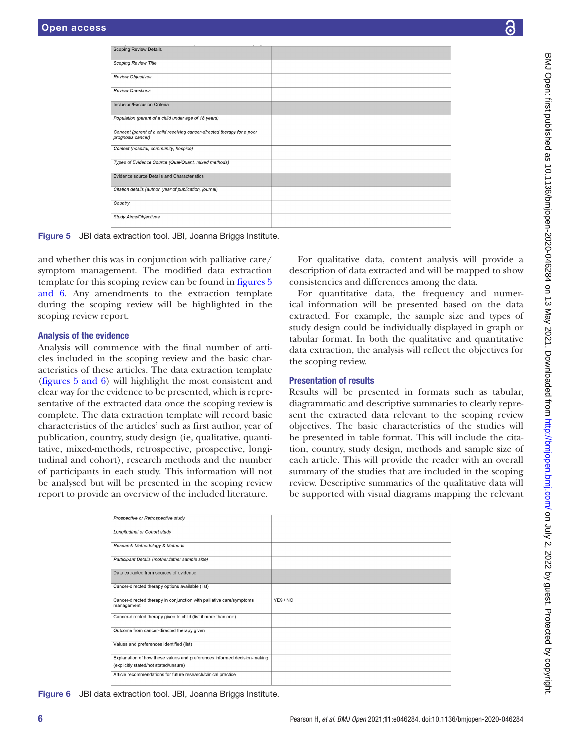| <b>Scoping Review Details</b>                                                                                 |                                                                                                                   |  |
|---------------------------------------------------------------------------------------------------------------|-------------------------------------------------------------------------------------------------------------------|--|
| <b>Scoping Review Title</b>                                                                                   |                                                                                                                   |  |
| <b>Review Objectives</b>                                                                                      |                                                                                                                   |  |
| <b>Review Questions</b>                                                                                       |                                                                                                                   |  |
| Inclusion/Exclusion Criteria                                                                                  |                                                                                                                   |  |
| Population (parent of a child under age of 18 years)                                                          |                                                                                                                   |  |
| Concept (parent of a child receiving cancer-directed therapy for a poor<br>prognosis cancer)                  |                                                                                                                   |  |
| Context (hospital, community, hospice)                                                                        |                                                                                                                   |  |
| Types of Evidence Source (Qual/Quant, mixed methods)                                                          |                                                                                                                   |  |
| Evidence source Details and Characteristics                                                                   |                                                                                                                   |  |
| Citation details (author, year of publication, journal)                                                       |                                                                                                                   |  |
| Country                                                                                                       |                                                                                                                   |  |
| <b>Study Aims/Objectives</b>                                                                                  |                                                                                                                   |  |
| Figure 5 JBI data extraction tool. JBI, Joanna Briggs Institute.                                              |                                                                                                                   |  |
|                                                                                                               |                                                                                                                   |  |
| and whether this was in conjunction with palliative care/<br>symptom management. The modified data extraction | For qualitative data, content analysis will provide a<br>description of data extracted and will be mapped to show |  |
| template for this scoping review can be found in figures 5                                                    | consistencies and differences among the data.                                                                     |  |
| and 6. Any amendments to the extraction template                                                              | For quantitative data, the frequency and numer-                                                                   |  |
| during the scoping review will be highlighted in the                                                          | ical information will be presented based on the data                                                              |  |
| scoping review report.                                                                                        | extracted. For example, the sample size and types of<br>study design could be individually displayed in graph or  |  |
| <b>Analysis of the evidence</b>                                                                               | tabular format. In both the qualitative and quantitative                                                          |  |
| Analysis will commence with the final number of arti-                                                         | data extraction, the analysis will reflect the objectives for                                                     |  |
| cles included in the scoping review and the basic char-                                                       | the scoping review.                                                                                               |  |
| acteristics of these articles. The data extraction template                                                   |                                                                                                                   |  |
| (figures 5 and 6) will highlight the most consistent and                                                      | <b>Presentation of results</b>                                                                                    |  |
| clear way for the evidence to be presented, which is repre-                                                   | Results will be presented in formats such as tabular,                                                             |  |
| sentative of the extracted data once the scoping review is                                                    | diagrammatic and descriptive summaries to clearly repre-                                                          |  |

<span id="page-5-0"></span>such as tabular, grammatic and descriptive summaries to clearly represent the extracted data relevant to the scoping review objectives. The basic characteristics of the studies will be presented in table format. This will include the citation, country, study design, methods and sample size of each article. This will provide the reader with an overall summary of the studies that are included in the scoping review. Descriptive summaries of the qualitative data will

be supported with visual diagrams mapping the relevant

| Prospective or Retrospective study                                                 |          |
|------------------------------------------------------------------------------------|----------|
| Longitudinal or Cohort study                                                       |          |
| Research Methodology & Methods                                                     |          |
| Participant Details (mother, father sample size)                                   |          |
| Data extracted from sources of evidence                                            |          |
| Cancer-directed therapy options available (list)                                   |          |
| Cancer-directed therapy in conjunction with palliative care/symptoms<br>management | YES / NO |
| Cancer-directed therapy given to child (list if more than one)                     |          |
| Outcome from cancer-directed therapy given                                         |          |
| Values and preferences identified (list)                                           |          |
| Explanation of how these values and preferences informed decision-making           |          |
| (explicitly stated/not stated/unsure)                                              |          |
| Article recommendations for future research/clinical practice                      |          |

Figure 6 JBI data extraction tool. JBI, Joanna Briggs Institute.

sentative of the extracted data once the scoping

complete. The data extraction template will record basic characteristics of the articles' such as first author, year of publication, country, study design (ie, qualitative, quantitative, mixed-methods, retrospective, prospective, longitudinal and cohort), research methods and the number of participants in each study. This information will not be analysed but will be presented in the scoping review report to provide an overview of the included literature.